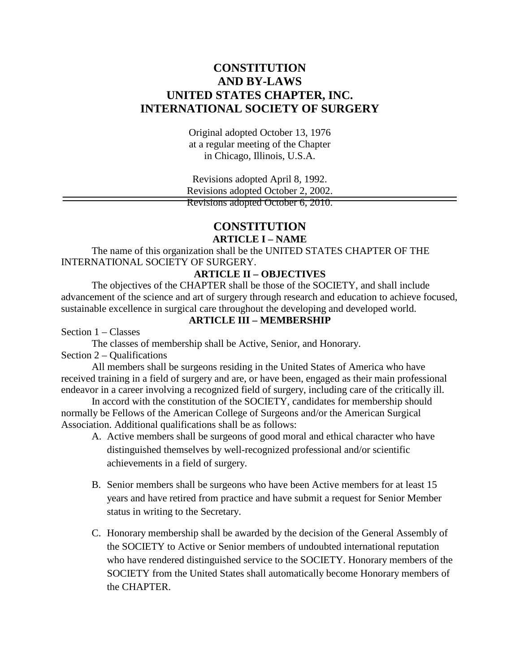# **CONSTITUTION AND BY-LAWS UNITED STATES CHAPTER, INC. INTERNATIONAL SOCIETY OF SURGERY**

Original adopted October 13, 1976 at a regular meeting of the Chapter in Chicago, Illinois, U.S.A.

Revisions adopted April 8, 1992. Revisions adopted October 2, 2002. Revisions adopted October 6, 2010.

# **CONSTITUTION**

**ARTICLE I – NAME**

The name of this organization shall be the UNITED STATES CHAPTER OF THE INTERNATIONAL SOCIETY OF SURGERY.

#### **ARTICLE II – OBJECTIVES**

The objectives of the CHAPTER shall be those of the SOCIETY, and shall include advancement of the science and art of surgery through research and education to achieve focused, sustainable excellence in surgical care throughout the developing and developed world.

#### **ARTICLE III – MEMBERSHIP**

Section 1 – Classes

The classes of membership shall be Active, Senior, and Honorary. Section 2 – Qualifications

All members shall be surgeons residing in the United States of America who have received training in a field of surgery and are, or have been, engaged as their main professional endeavor in a career involving a recognized field of surgery, including care of the critically ill.

In accord with the constitution of the SOCIETY, candidates for membership should normally be Fellows of the American College of Surgeons and/or the American Surgical Association. Additional qualifications shall be as follows:

- A. Active members shall be surgeons of good moral and ethical character who have distinguished themselves by well-recognized professional and/or scientific achievements in a field of surgery.
- B. Senior members shall be surgeons who have been Active members for at least 15 years and have retired from practice and have submit a request for Senior Member status in writing to the Secretary.
- C. Honorary membership shall be awarded by the decision of the General Assembly of the SOCIETY to Active or Senior members of undoubted international reputation who have rendered distinguished service to the SOCIETY. Honorary members of the SOCIETY from the United States shall automatically become Honorary members of the CHAPTER.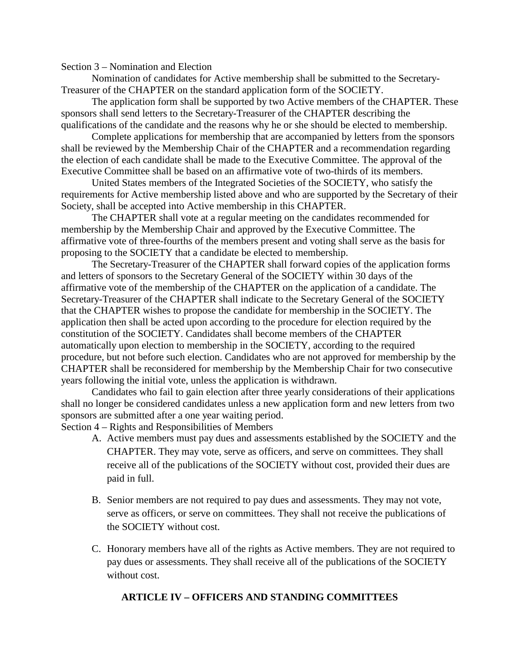Section 3 – Nomination and Election

Nomination of candidates for Active membership shall be submitted to the Secretary-Treasurer of the CHAPTER on the standard application form of the SOCIETY.

The application form shall be supported by two Active members of the CHAPTER. These sponsors shall send letters to the Secretary-Treasurer of the CHAPTER describing the qualifications of the candidate and the reasons why he or she should be elected to membership.

Complete applications for membership that are accompanied by letters from the sponsors shall be reviewed by the Membership Chair of the CHAPTER and a recommendation regarding the election of each candidate shall be made to the Executive Committee. The approval of the Executive Committee shall be based on an affirmative vote of two-thirds of its members.

United States members of the Integrated Societies of the SOCIETY, who satisfy the requirements for Active membership listed above and who are supported by the Secretary of their Society, shall be accepted into Active membership in this CHAPTER.

The CHAPTER shall vote at a regular meeting on the candidates recommended for membership by the Membership Chair and approved by the Executive Committee. The affirmative vote of three-fourths of the members present and voting shall serve as the basis for proposing to the SOCIETY that a candidate be elected to membership.

The Secretary-Treasurer of the CHAPTER shall forward copies of the application forms and letters of sponsors to the Secretary General of the SOCIETY within 30 days of the affirmative vote of the membership of the CHAPTER on the application of a candidate. The Secretary-Treasurer of the CHAPTER shall indicate to the Secretary General of the SOCIETY that the CHAPTER wishes to propose the candidate for membership in the SOCIETY. The application then shall be acted upon according to the procedure for election required by the constitution of the SOCIETY. Candidates shall become members of the CHAPTER automatically upon election to membership in the SOCIETY, according to the required procedure, but not before such election. Candidates who are not approved for membership by the CHAPTER shall be reconsidered for membership by the Membership Chair for two consecutive years following the initial vote, unless the application is withdrawn.

Candidates who fail to gain election after three yearly considerations of their applications shall no longer be considered candidates unless a new application form and new letters from two sponsors are submitted after a one year waiting period.

Section 4 – Rights and Responsibilities of Members

- A. Active members must pay dues and assessments established by the SOCIETY and the CHAPTER. They may vote, serve as officers, and serve on committees. They shall receive all of the publications of the SOCIETY without cost, provided their dues are paid in full.
- B. Senior members are not required to pay dues and assessments. They may not vote, serve as officers, or serve on committees. They shall not receive the publications of the SOCIETY without cost.
- C. Honorary members have all of the rights as Active members. They are not required to pay dues or assessments. They shall receive all of the publications of the SOCIETY without cost.

#### **ARTICLE IV – OFFICERS AND STANDING COMMITTEES**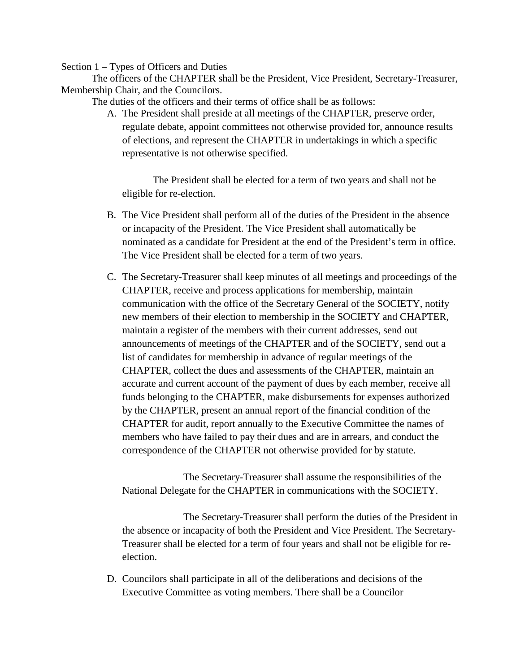Section 1 – Types of Officers and Duties

The officers of the CHAPTER shall be the President, Vice President, Secretary-Treasurer, Membership Chair, and the Councilors.

The duties of the officers and their terms of office shall be as follows:

A. The President shall preside at all meetings of the CHAPTER, preserve order, regulate debate, appoint committees not otherwise provided for, announce results of elections, and represent the CHAPTER in undertakings in which a specific representative is not otherwise specified.

The President shall be elected for a term of two years and shall not be eligible for re-election.

- B. The Vice President shall perform all of the duties of the President in the absence or incapacity of the President. The Vice President shall automatically be nominated as a candidate for President at the end of the President's term in office. The Vice President shall be elected for a term of two years.
- C. The Secretary-Treasurer shall keep minutes of all meetings and proceedings of the CHAPTER, receive and process applications for membership, maintain communication with the office of the Secretary General of the SOCIETY, notify new members of their election to membership in the SOCIETY and CHAPTER, maintain a register of the members with their current addresses, send out announcements of meetings of the CHAPTER and of the SOCIETY, send out a list of candidates for membership in advance of regular meetings of the CHAPTER, collect the dues and assessments of the CHAPTER, maintain an accurate and current account of the payment of dues by each member, receive all funds belonging to the CHAPTER, make disbursements for expenses authorized by the CHAPTER, present an annual report of the financial condition of the CHAPTER for audit, report annually to the Executive Committee the names of members who have failed to pay their dues and are in arrears, and conduct the correspondence of the CHAPTER not otherwise provided for by statute.

The Secretary-Treasurer shall assume the responsibilities of the National Delegate for the CHAPTER in communications with the SOCIETY.

The Secretary-Treasurer shall perform the duties of the President in the absence or incapacity of both the President and Vice President. The Secretary-Treasurer shall be elected for a term of four years and shall not be eligible for reelection.

D. Councilors shall participate in all of the deliberations and decisions of the Executive Committee as voting members. There shall be a Councilor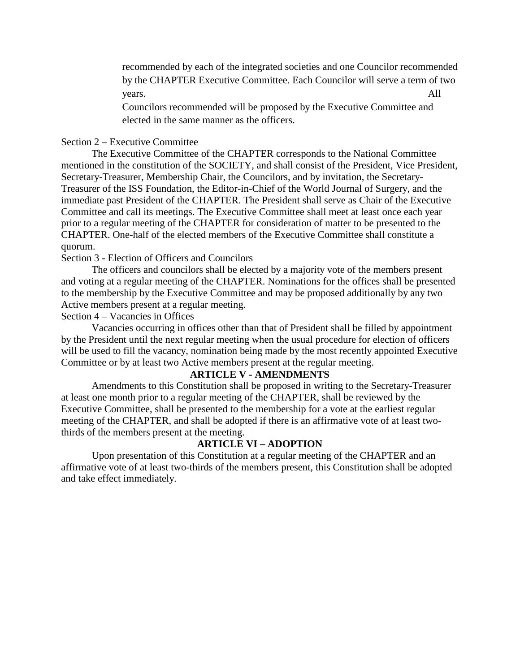recommended by each of the integrated societies and one Councilor recommended by the CHAPTER Executive Committee. Each Councilor will serve a term of two years. All

Councilors recommended will be proposed by the Executive Committee and elected in the same manner as the officers.

#### Section 2 – Executive Committee

The Executive Committee of the CHAPTER corresponds to the National Committee mentioned in the constitution of the SOCIETY, and shall consist of the President, Vice President, Secretary-Treasurer, Membership Chair, the Councilors, and by invitation, the Secretary-Treasurer of the ISS Foundation, the Editor-in-Chief of the World Journal of Surgery, and the immediate past President of the CHAPTER. The President shall serve as Chair of the Executive Committee and call its meetings. The Executive Committee shall meet at least once each year prior to a regular meeting of the CHAPTER for consideration of matter to be presented to the CHAPTER. One-half of the elected members of the Executive Committee shall constitute a quorum.

Section 3 - Election of Officers and Councilors

The officers and councilors shall be elected by a majority vote of the members present and voting at a regular meeting of the CHAPTER. Nominations for the offices shall be presented to the membership by the Executive Committee and may be proposed additionally by any two Active members present at a regular meeting.

Section 4 – Vacancies in Offices

Vacancies occurring in offices other than that of President shall be filled by appointment by the President until the next regular meeting when the usual procedure for election of officers will be used to fill the vacancy, nomination being made by the most recently appointed Executive Committee or by at least two Active members present at the regular meeting.

## **ARTICLE V - AMENDMENTS**

Amendments to this Constitution shall be proposed in writing to the Secretary-Treasurer at least one month prior to a regular meeting of the CHAPTER, shall be reviewed by the Executive Committee, shall be presented to the membership for a vote at the earliest regular meeting of the CHAPTER, and shall be adopted if there is an affirmative vote of at least twothirds of the members present at the meeting.

## **ARTICLE VI – ADOPTION**

Upon presentation of this Constitution at a regular meeting of the CHAPTER and an affirmative vote of at least two-thirds of the members present, this Constitution shall be adopted and take effect immediately.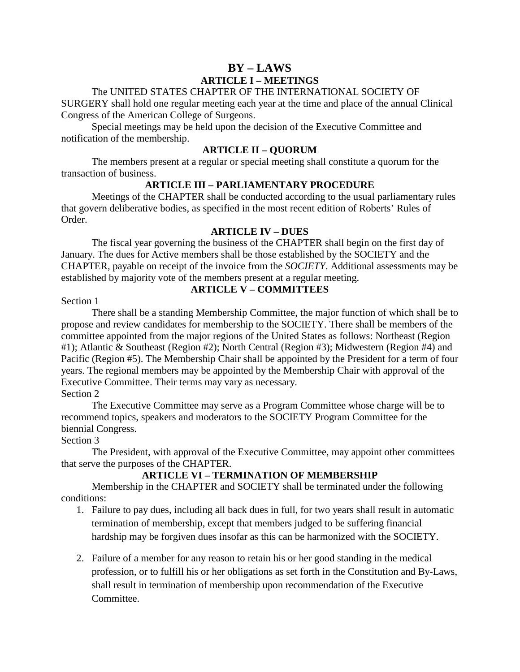# **BY – LAWS ARTICLE I – MEETINGS**

#### The UNITED STATES CHAPTER OF THE INTERNATIONAL SOCIETY OF

SURGERY shall hold one regular meeting each year at the time and place of the annual Clinical Congress of the American College of Surgeons.

Special meetings may be held upon the decision of the Executive Committee and notification of the membership.

### **ARTICLE II – QUORUM**

The members present at a regular or special meeting shall constitute a quorum for the transaction of business.

### **ARTICLE III – PARLIAMENTARY PROCEDURE**

Meetings of the CHAPTER shall be conducted according to the usual parliamentary rules that govern deliberative bodies, as specified in the most recent edition of Roberts' Rules of Order.

### **ARTICLE IV – DUES**

The fiscal year governing the business of the CHAPTER shall begin on the first day of January. The dues for Active members shall be those established by the SOCIETY and the CHAPTER, payable on receipt of the invoice from the *SOCIETY*. Additional assessments may be established by majority vote of the members present at a regular meeting.

### Section 1

## **ARTICLE V – COMMITTEES**

There shall be a standing Membership Committee, the major function of which shall be to propose and review candidates for membership to the SOCIETY. There shall be members of the committee appointed from the major regions of the United States as follows: Northeast (Region #1); Atlantic & Southeast (Region #2); North Central (Region #3); Midwestern (Region #4) and Pacific (Region #5). The Membership Chair shall be appointed by the President for a term of four years. The regional members may be appointed by the Membership Chair with approval of the Executive Committee. Their terms may vary as necessary. Section 2

The Executive Committee may serve as a Program Committee whose charge will be to recommend topics, speakers and moderators to the SOCIETY Program Committee for the biennial Congress.

#### Section 3

The President, with approval of the Executive Committee, may appoint other committees that serve the purposes of the CHAPTER.

## **ARTICLE VI – TERMINATION OF MEMBERSHIP**

Membership in the CHAPTER and SOCIETY shall be terminated under the following conditions:

- 1. Failure to pay dues, including all back dues in full, for two years shall result in automatic termination of membership, except that members judged to be suffering financial hardship may be forgiven dues insofar as this can be harmonized with the SOCIETY.
- 2. Failure of a member for any reason to retain his or her good standing in the medical profession, or to fulfill his or her obligations as set forth in the Constitution and By-Laws, shall result in termination of membership upon recommendation of the Executive Committee.